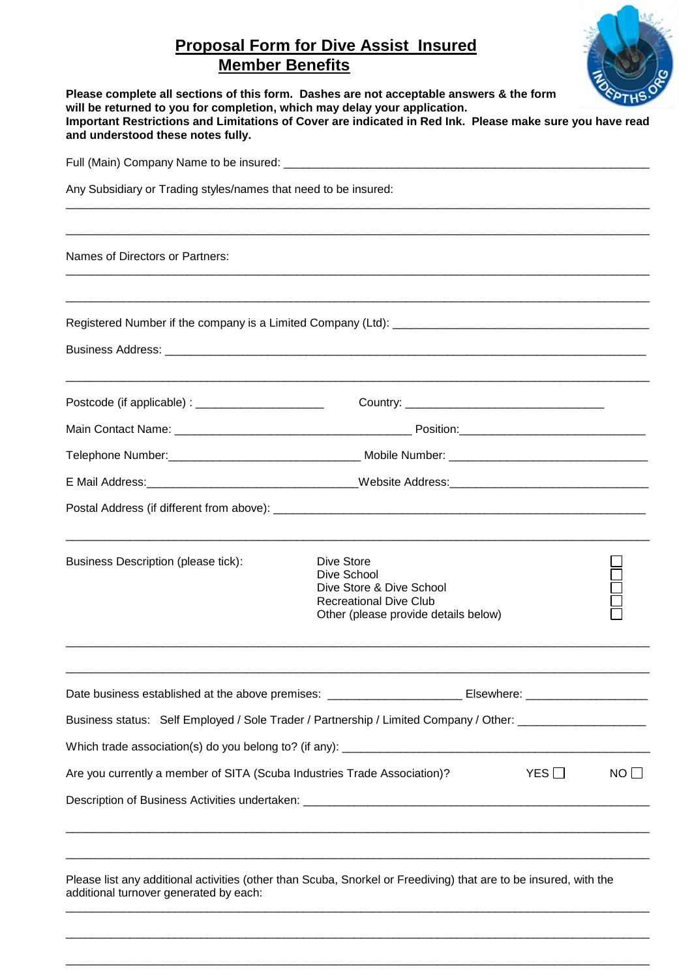# **Proposal Form for Dive Assist Insured Member Benefits**



| Please complete all sections of this form. Dashes are not acceptable answers & the form<br>will be returned to you for completion, which may delay your application.<br>Important Restrictions and Limitations of Cover are indicated in Red Ink. Please make sure you have read<br>and understood these notes fully. |                                                                                                                                |              | OFPTHS    |
|-----------------------------------------------------------------------------------------------------------------------------------------------------------------------------------------------------------------------------------------------------------------------------------------------------------------------|--------------------------------------------------------------------------------------------------------------------------------|--------------|-----------|
|                                                                                                                                                                                                                                                                                                                       |                                                                                                                                |              |           |
| Any Subsidiary or Trading styles/names that need to be insured:                                                                                                                                                                                                                                                       |                                                                                                                                |              |           |
| Names of Directors or Partners:                                                                                                                                                                                                                                                                                       |                                                                                                                                |              |           |
|                                                                                                                                                                                                                                                                                                                       |                                                                                                                                |              |           |
|                                                                                                                                                                                                                                                                                                                       |                                                                                                                                |              |           |
| Postcode (if applicable) : __________________________                                                                                                                                                                                                                                                                 |                                                                                                                                |              |           |
|                                                                                                                                                                                                                                                                                                                       |                                                                                                                                |              |           |
|                                                                                                                                                                                                                                                                                                                       |                                                                                                                                |              |           |
| E Mail Address: Nebsite Address: Nebsite Address: Nebsite Address: Nebsite Address: Nebsite Address: Nebsite Address: Nebsite Address: Nebsite Address: Nebsite Address: Nebsite Address: Nebsite Address: Nebsite Address: Ne                                                                                        |                                                                                                                                |              |           |
|                                                                                                                                                                                                                                                                                                                       |                                                                                                                                |              |           |
| <b>Business Description (please tick):</b>                                                                                                                                                                                                                                                                            | Dive Store<br>Dive School<br>Dive Store & Dive School<br><b>Recreational Dive Club</b><br>Other (please provide details below) |              |           |
|                                                                                                                                                                                                                                                                                                                       |                                                                                                                                |              |           |
| Business status: Self Employed / Sole Trader / Partnership / Limited Company / Other: ____________________                                                                                                                                                                                                            |                                                                                                                                |              |           |
|                                                                                                                                                                                                                                                                                                                       |                                                                                                                                |              |           |
| Are you currently a member of SITA (Scuba Industries Trade Association)?                                                                                                                                                                                                                                              |                                                                                                                                | $YES$ $\Box$ | $NO \Box$ |
|                                                                                                                                                                                                                                                                                                                       |                                                                                                                                |              |           |
| Please list any additional activities (other than Scuba, Snorkel or Freediving) that are to be insured, with the<br>additional turnover generated by each:                                                                                                                                                            |                                                                                                                                |              |           |

 $\_$  , and the set of the set of the set of the set of the set of the set of the set of the set of the set of the set of the set of the set of the set of the set of the set of the set of the set of the set of the set of th

 $\_$  , and the set of the set of the set of the set of the set of the set of the set of the set of the set of the set of the set of the set of the set of the set of the set of the set of the set of the set of the set of th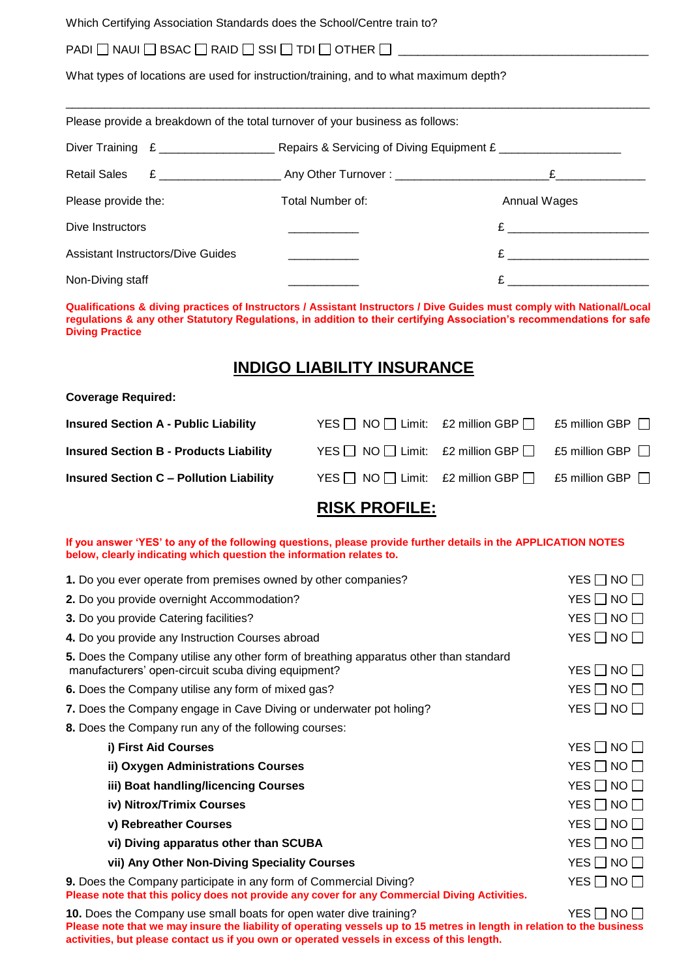Which Certifying Association Standards does the School/Centre train to?

### PADI  $\Box$  NAUI  $\Box$  BSAC  $\Box$  RAID  $\Box$  SSI  $\Box$  TDI  $\Box$  OTHER  $\Box$   $\Box$

What types of locations are used for instruction/training, and to what maximum depth?

|                                          | Please provide a breakdown of the total turnover of your business as follows: |                                                                                                                                                                                                                               |  |
|------------------------------------------|-------------------------------------------------------------------------------|-------------------------------------------------------------------------------------------------------------------------------------------------------------------------------------------------------------------------------|--|
|                                          |                                                                               |                                                                                                                                                                                                                               |  |
|                                          |                                                                               | £                                                                                                                                                                                                                             |  |
| Please provide the:                      | Total Number of:                                                              | Annual Wages                                                                                                                                                                                                                  |  |
| Dive Instructors                         |                                                                               | $E$ and $E$ and $E$ and $E$ and $E$ and $E$ and $E$ and $E$ and $E$ and $E$ and $E$ and $E$ and $E$ and $E$ and $E$ and $E$ and $E$ and $E$ and $E$ and $E$ and $E$ and $E$ and $E$ and $E$ and $E$ and $E$ and $E$ and $E$ a |  |
| <b>Assistant Instructors/Dive Guides</b> |                                                                               | $E \sim 1$                                                                                                                                                                                                                    |  |
| Non-Diving staff                         |                                                                               | £                                                                                                                                                                                                                             |  |

**Qualifications & diving practices of Instructors / Assistant Instructors / Dive Guides must comply with National/Local regulations & any other Statutory Regulations, in addition to their certifying Association's recommendations for safe Diving Practice**

## **INDIGO LIABILITY INSURANCE**

#### **Coverage Required:**

|  | £5 million GBP $\Box$                                                                                                                                       |
|--|-------------------------------------------------------------------------------------------------------------------------------------------------------------|
|  | £5 million GBP $\Box$                                                                                                                                       |
|  | £5 million GBP $\Box$                                                                                                                                       |
|  | YES $\Box$ NO $\Box$ Limit: £2 million GBP $\Box$<br>YES $\Box$ NO $\Box$ Limit: £2 million GBP $\Box$<br>YES $\Box$ NO $\Box$ Limit: £2 million GBP $\Box$ |

## **RISK PROFILE:**

#### **If you answer 'YES' to any of the following questions, please provide further details in the APPLICATION NOTES below, clearly indicating which question the information relates to.**

| 1. Do you ever operate from premises owned by other companies?                                                                                                     | YES $\Box$ NO $\Box$ |
|--------------------------------------------------------------------------------------------------------------------------------------------------------------------|----------------------|
| 2. Do you provide overnight Accommodation?                                                                                                                         | YES $\Box$ NO $\Box$ |
| 3. Do you provide Catering facilities?                                                                                                                             | $YES \Box NO \Box$   |
| 4. Do you provide any Instruction Courses abroad                                                                                                                   | YES $\Box$ NO $\Box$ |
| 5. Does the Company utilise any other form of breathing apparatus other than standard<br>manufacturers' open-circuit scuba diving equipment?                       | $YES \Box NO \Box$   |
| 6. Does the Company utilise any form of mixed gas?                                                                                                                 | YES $\Box$ NO $\Box$ |
| 7. Does the Company engage in Cave Diving or underwater pot holing?                                                                                                | YES $\Box$ NO $\Box$ |
| 8. Does the Company run any of the following courses:                                                                                                              |                      |
| i) First Aid Courses                                                                                                                                               | $YES \Box NO \Box$   |
| ii) Oxygen Administrations Courses                                                                                                                                 | YES $\Box$ NO $\Box$ |
| iii) Boat handling/licencing Courses                                                                                                                               | $YES \Box NO \Box$   |
| iv) Nitrox/Trimix Courses                                                                                                                                          | $YES \Box NO \Box$   |
| v) Rebreather Courses                                                                                                                                              | YES $\Box$ NO $\Box$ |
| vi) Diving apparatus other than SCUBA                                                                                                                              | $YES \Box NO \Box$   |
| vii) Any Other Non-Diving Speciality Courses                                                                                                                       | YES $\Box$ NO $\Box$ |
| 9. Does the Company participate in any form of Commercial Diving?<br>Please note that this policy does not provide any cover for any Commercial Diving Activities. | YES $\Box$ NO $\Box$ |

**10.** Does the Company use small boats for open water dive training? YES T NO T **Please note that we may insure the liability of operating vessels up to 15 metres in length in relation to the business activities, but please contact us if you own or operated vessels in excess of this length.**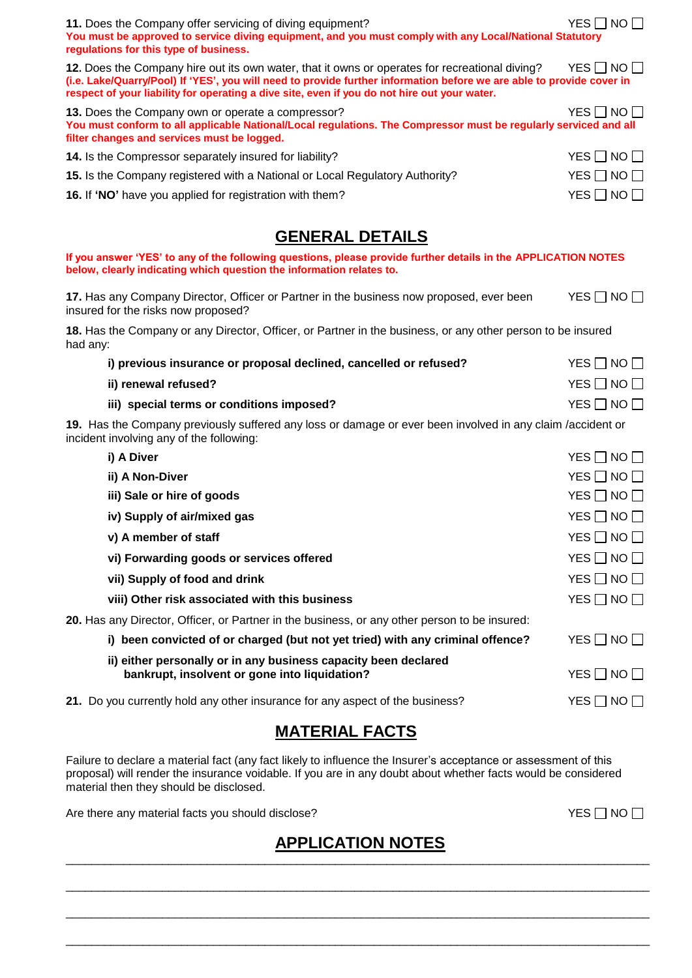| 11. Does the Company offer servicing of diving equipment?<br>You must be approved to service diving equipment, and you must comply with any Local/National Statutory<br>regulations for this type of business.                                                                                                          | $YES \Box NO \Box$   |
|-------------------------------------------------------------------------------------------------------------------------------------------------------------------------------------------------------------------------------------------------------------------------------------------------------------------------|----------------------|
| 12. Does the Company hire out its own water, that it owns or operates for recreational diving?<br>(i.e. Lake/Quarry/Pool) If 'YES', you will need to provide further information before we are able to provide cover in<br>respect of your liability for operating a dive site, even if you do not hire out your water. | $YES \Box NO \Box$   |
| 13. Does the Company own or operate a compressor?<br>You must conform to all applicable National/Local regulations. The Compressor must be regularly serviced and all<br>filter changes and services must be logged.                                                                                                    | YES $\Box$ NO $\Box$ |
| 14. Is the Compressor separately insured for liability?                                                                                                                                                                                                                                                                 | $YES \Box NO \Box$   |
| 15. Is the Company registered with a National or Local Regulatory Authority?                                                                                                                                                                                                                                            | $YES \Box NO \Box$   |
| 16. If 'NO' have you applied for registration with them?                                                                                                                                                                                                                                                                | $YES \Box NO \Box$   |
| <b>GENERAL DETAILS</b>                                                                                                                                                                                                                                                                                                  |                      |
| If you answer 'YES' to any of the following questions, please provide further details in the APPLICATION NOTES<br>below, clearly indicating which question the information relates to.                                                                                                                                  |                      |
| 17. Has any Company Director, Officer or Partner in the business now proposed, ever been<br>insured for the risks now proposed?                                                                                                                                                                                         | YES $\Box$ NO $\Box$ |
| 18. Has the Company or any Director, Officer, or Partner in the business, or any other person to be insured<br>had any:                                                                                                                                                                                                 |                      |
| i) previous insurance or proposal declined, cancelled or refused?                                                                                                                                                                                                                                                       | $YES \Box NO \Box$   |
| ii) renewal refused?                                                                                                                                                                                                                                                                                                    | $YES \Box NO \Box$   |
| iii) special terms or conditions imposed?                                                                                                                                                                                                                                                                               | $YES \Box NO \Box$   |
| 19. Has the Company previously suffered any loss or damage or ever been involved in any claim /accident or<br>incident involving any of the following:                                                                                                                                                                  |                      |
| i) A Diver                                                                                                                                                                                                                                                                                                              | YES $\Box$ NO $\Box$ |
| ii) A Non-Diver                                                                                                                                                                                                                                                                                                         | $YES \Box NO \Box$   |
| iii) Sale or hire of goods                                                                                                                                                                                                                                                                                              | $YES \Box NO \Box$   |
| iv) Supply of air/mixed gas                                                                                                                                                                                                                                                                                             | $YES \Box NO \Box$   |
| v) A member of staff                                                                                                                                                                                                                                                                                                    | YES $\Box$ NO $\Box$ |
| vi) Forwarding goods or services offered                                                                                                                                                                                                                                                                                | YES $\Box$ NO $\Box$ |
| vii) Supply of food and drink                                                                                                                                                                                                                                                                                           | YES $\Box$ NO $\Box$ |
| viii) Other risk associated with this business                                                                                                                                                                                                                                                                          | $YES \Box NO \Box$   |
| 20. Has any Director, Officer, or Partner in the business, or any other person to be insured:                                                                                                                                                                                                                           |                      |
| i) been convicted of or charged (but not yet tried) with any criminal offence?                                                                                                                                                                                                                                          | YES $\Box$ NO $\Box$ |
| ii) either personally or in any business capacity been declared<br>bankrupt, insolvent or gone into liquidation?                                                                                                                                                                                                        | $YES \Box NO \Box$   |
| 21. Do you currently hold any other insurance for any aspect of the business?                                                                                                                                                                                                                                           | $YES \Box NO \Box$   |

# **MATERIAL FACTS**

Failure to declare a material fact (any fact likely to influence the Insurer's acceptance or assessment of this proposal) will render the insurance voidable. If you are in any doubt about whether facts would be considered material then they should be disclosed.

Are there any material facts you should disclose?<br>  $YES \Box NO \Box$ 

### **APPLICATION NOTES**   $\_$  , and the set of the set of the set of the set of the set of the set of the set of the set of the set of the set of the set of the set of the set of the set of the set of the set of the set of the set of the set of th

 $\_$  , and the set of the set of the set of the set of the set of the set of the set of the set of the set of the set of the set of the set of the set of the set of the set of the set of the set of the set of the set of th

 $\_$  , and the set of the set of the set of the set of the set of the set of the set of the set of the set of the set of the set of the set of the set of the set of the set of the set of the set of the set of the set of th

 $\_$  , and the set of the set of the set of the set of the set of the set of the set of the set of the set of the set of the set of the set of the set of the set of the set of the set of the set of the set of the set of th